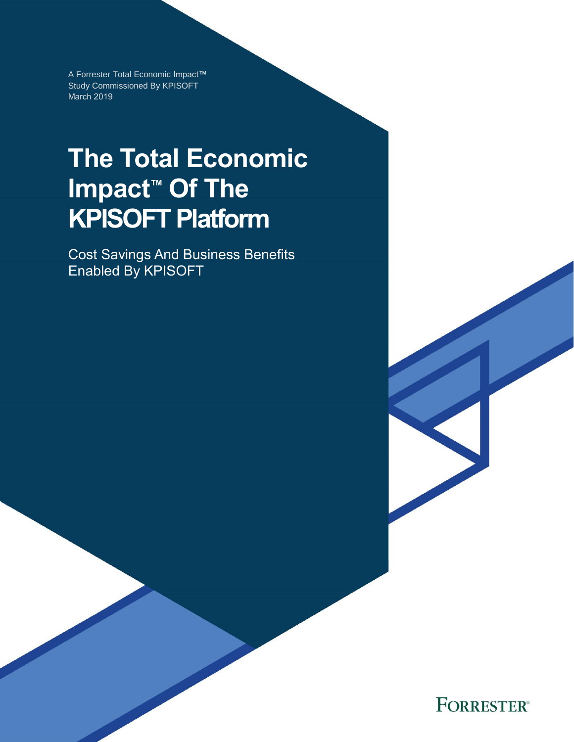A Forrester Total Economic Impact™ Study Commissioned By KPISOFT March 2019

# **The Total Economic Impact™ Of The KPISOFT Platform**

Cost Savings And Business Benefits Enabled By KPISOFT

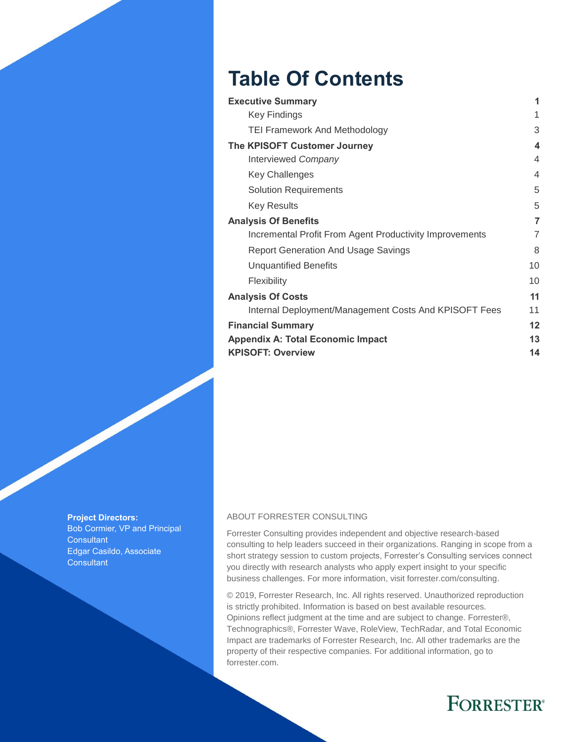## **Table Of Contents**

| <b>Executive Summary</b>                                | 1                |
|---------------------------------------------------------|------------------|
| Key Findings                                            | 1                |
| <b>TEI Framework And Methodology</b>                    | 3                |
| The KPISOFT Customer Journey                            | $\boldsymbol{4}$ |
| Interviewed Company                                     | 4                |
| <b>Key Challenges</b>                                   | $\overline{4}$   |
| <b>Solution Requirements</b>                            | 5                |
| <b>Key Results</b>                                      | 5                |
| <b>Analysis Of Benefits</b>                             | 7                |
| Incremental Profit From Agent Productivity Improvements | 7                |
| Report Generation And Usage Savings                     | 8                |
| <b>Unquantified Benefits</b>                            | 10               |
| Flexibility                                             | 10               |
| <b>Analysis Of Costs</b>                                | 11               |
| Internal Deployment/Management Costs And KPISOFT Fees   | 11               |
| <b>Financial Summary</b>                                | 12               |
| <b>Appendix A: Total Economic Impact</b>                | 13               |
| <b>KPISOFT: Overview</b>                                | 14               |

**Project Directors:** Bob Cormier, VP and Principal **Consultant** Edgar Casildo, Associate **Consultant** 

#### ABOUT FORRESTER CONSULTING

Forrester Consulting provides independent and objective research-based consulting to help leaders succeed in their organizations. Ranging in scope from a short strategy session to custom projects, Forrester's Consulting services connect you directly with research analysts who apply expert insight to your specific business challenges. For more information, visit forrester.com/consulting.

© 2019, Forrester Research, Inc. All rights reserved. Unauthorized reproduction is strictly prohibited. Information is based on best available resources. Opinions reflect judgment at the time and are subject to change. Forrester®, Technographics®, Forrester Wave, RoleView, TechRadar, and Total Economic Impact are trademarks of Forrester Research, Inc. All other trademarks are the property of their respective companies. For additional information, go to forrester.com.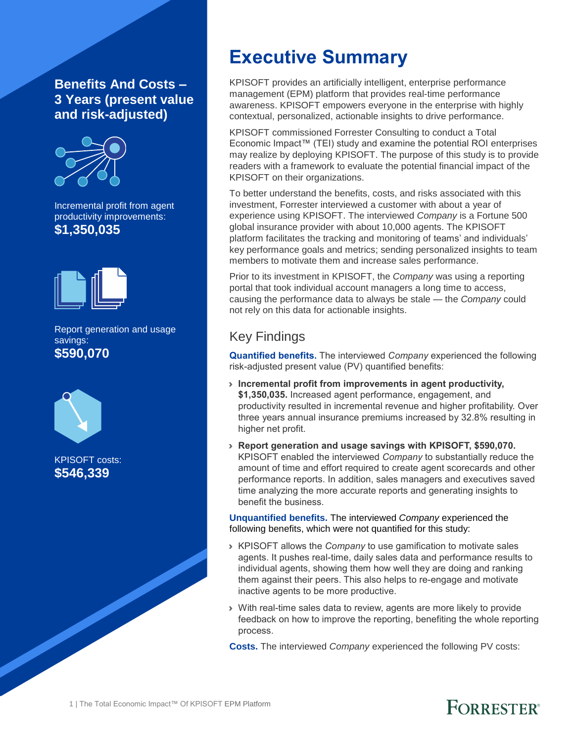### **Benefits And Costs – 3 Years (present value and risk-adjusted)**



Incremental profit from agent productivity improvements: **\$1,350,035**



Report generation and usage savings: **\$590,070**



KPISOFT costs: **\$546,339**

## **Executive Summary**

KPISOFT provides an artificially intelligent, enterprise performance management (EPM) platform that provides real-time performance awareness. KPISOFT empowers everyone in the enterprise with highly contextual, personalized, actionable insights to drive performance.

KPISOFT commissioned Forrester Consulting to conduct a Total Economic Impact™ (TEI) study and examine the potential ROI enterprises may realize by deploying KPISOFT. The purpose of this study is to provide readers with a framework to evaluate the potential financial impact of the KPISOFT on their organizations.

To better understand the benefits, costs, and risks associated with this investment, Forrester interviewed a customer with about a year of experience using KPISOFT. The interviewed *Company* is a Fortune 500 global insurance provider with about 10,000 agents. The KPISOFT platform facilitates the tracking and monitoring of teams' and individuals' key performance goals and metrics; sending personalized insights to team members to motivate them and increase sales performance.

Prior to its investment in KPISOFT, the *Company* was using a reporting portal that took individual account managers a long time to access, causing the performance data to always be stale — the *Company* could not rely on this data for actionable insights.

### Key Findings

**Quantified benefits.** The interviewed *Company* experienced the following risk-adjusted present value (PV) quantified benefits:

- › **Incremental profit from improvements in agent productivity, \$1,350,035.** Increased agent performance, engagement, and productivity resulted in incremental revenue and higher profitability. Over three years annual insurance premiums increased by 32.8% resulting in higher net profit.
- › **Report generation and usage savings with KPISOFT, \$590,070.** KPISOFT enabled the interviewed *Company* to substantially reduce the amount of time and effort required to create agent scorecards and other performance reports. In addition, sales managers and executives saved time analyzing the more accurate reports and generating insights to benefit the business.

**Unquantified benefits.** The interviewed *Company* experienced the following benefits, which were not quantified for this study:

- › KPISOFT allows the *Company* to use gamification to motivate sales agents. It pushes real-time, daily sales data and performance results to individual agents, showing them how well they are doing and ranking them against their peers. This also helps to re-engage and motivate inactive agents to be more productive.
- › With real-time sales data to review, agents are more likely to provide feedback on how to improve the reporting, benefiting the whole reporting process.

FORRESTER®

**Costs.** The interviewed *Company* experienced the following PV costs: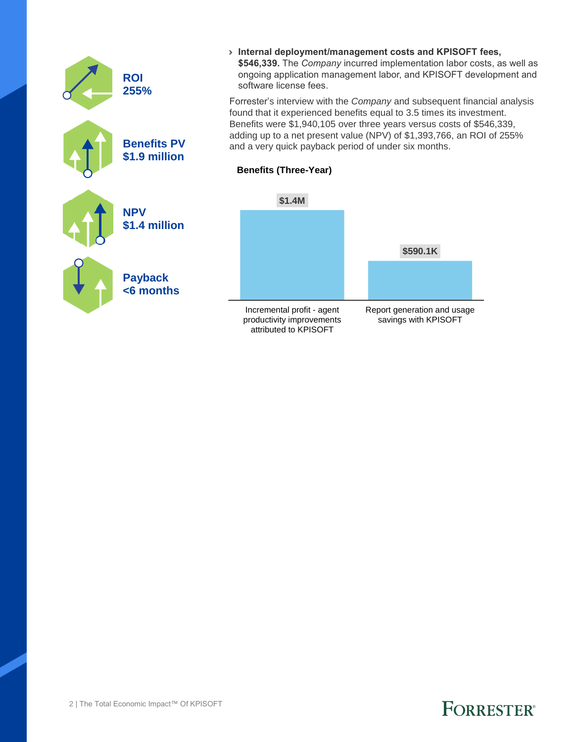|  | <b>ROI</b><br>255%                  | > Internal deployment/management costs and KPISOFT fees,<br>\$546,339. The Company incurred implementation labor costs, as well as<br>ongoing application management labor, and KPISOFT development and<br>software license fees.                                                                                                                           |                                                     |  |  |
|--|-------------------------------------|-------------------------------------------------------------------------------------------------------------------------------------------------------------------------------------------------------------------------------------------------------------------------------------------------------------------------------------------------------------|-----------------------------------------------------|--|--|
|  | <b>Benefits PV</b><br>\$1.9 million | Forrester's interview with the Company and subsequent financial analysis<br>found that it experienced benefits equal to 3.5 times its investment.<br>Benefits were \$1,940,105 over three years versus costs of \$546,339,<br>adding up to a net present value (NPV) of \$1,393,766, an ROI of 255%<br>and a very quick payback period of under six months. |                                                     |  |  |
|  |                                     | <b>Benefits (Three-Year)</b>                                                                                                                                                                                                                                                                                                                                |                                                     |  |  |
|  | <b>NPV</b>                          | \$1.4M                                                                                                                                                                                                                                                                                                                                                      |                                                     |  |  |
|  | \$1.4 million                       |                                                                                                                                                                                                                                                                                                                                                             | \$590.1K                                            |  |  |
|  | <b>Payback</b>                      |                                                                                                                                                                                                                                                                                                                                                             |                                                     |  |  |
|  | $<$ 6 months                        |                                                                                                                                                                                                                                                                                                                                                             |                                                     |  |  |
|  |                                     | Incremental profit - agent<br>productivity improvements                                                                                                                                                                                                                                                                                                     | Report generation and usage<br>savings with KPISOFT |  |  |

attributed to KPISOFT

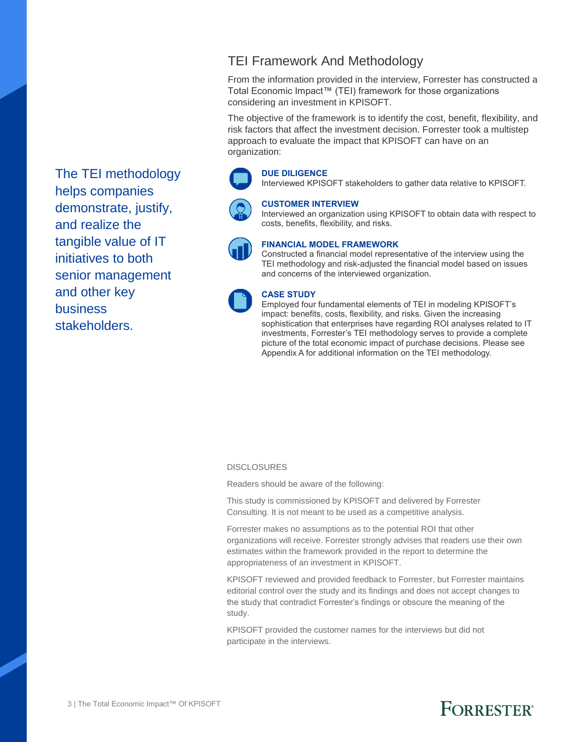TEI Framework And Methodology

From the information provided in the interview, Forrester has constructed a Total Economic Impact™ (TEI) framework for those organizations considering an investment in KPISOFT.

The objective of the framework is to identify the cost, benefit, flexibility, and risk factors that affect the investment decision. Forrester took a multistep approach to evaluate the impact that KPISOFT can have on an organization:



#### **DUE DILIGENCE**

#### **CUSTOMER INTERVIEW**

Interviewed an organization using KPISOFT to obtain data with respect to costs, benefits, flexibility, and risks.



#### **FINANCIAL MODEL FRAMEWORK**

Constructed a financial model representative of the interview using the TEI methodology and risk-adjusted the financial model based on issues and concerns of the interviewed organization.



#### **CASE STUDY**

Employed four fundamental elements of TEI in modeling KPISOFT's impact: benefits, costs, flexibility, and risks. Given the increasing sophistication that enterprises have regarding ROI analyses related to IT investments, Forrester's TEI methodology serves to provide a complete picture of the total economic impact of purchase decisions. Please see Appendix A for additional information on the TEI methodology.

#### **DISCLOSURES**

Readers should be aware of the following:

This study is commissioned by KPISOFT and delivered by Forrester Consulting. It is not meant to be used as a competitive analysis.

Forrester makes no assumptions as to the potential ROI that other organizations will receive. Forrester strongly advises that readers use their own estimates within the framework provided in the report to determine the appropriateness of an investment in KPISOFT.

KPISOFT reviewed and provided feedback to Forrester, but Forrester maintains editorial control over the study and its findings and does not accept changes to the study that contradict Forrester's findings or obscure the meaning of the study.

KPISOFT provided the customer names for the interviews but did not participate in the interviews.

The TEI methodology helps companies demonstrate, justify, and realize the tangible value of IT initiatives to both senior management and other key business stakeholders.

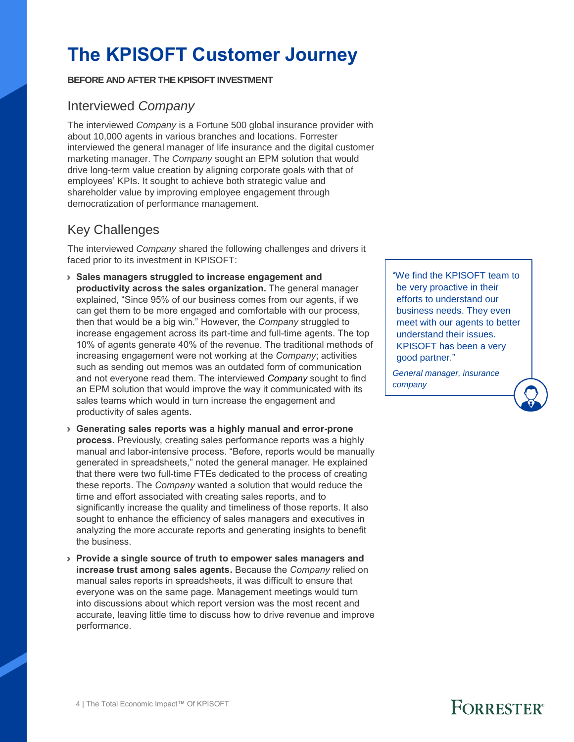## **The KPISOFT Customer Journey**

#### **BEFORE AND AFTER THE KPISOFT INVESTMENT**

### Interviewed *Company*

The interviewed *Company* is a Fortune 500 global insurance provider with about 10,000 agents in various branches and locations. Forrester interviewed the general manager of life insurance and the digital customer marketing manager. The *Company* sought an EPM solution that would drive long-term value creation by aligning corporate goals with that of employees' KPIs. It sought to achieve both strategic value and shareholder value by improving employee engagement through democratization of performance management.

### Key Challenges

The interviewed *Company* shared the following challenges and drivers it faced prior to its investment in KPISOFT:

- › **Sales managers struggled to increase engagement and productivity across the sales organization.** The general manager explained, "Since 95% of our business comes from our agents, if we can get them to be more engaged and comfortable with our process, then that would be a big win." However, the *Company* struggled to increase engagement across its part-time and full-time agents. The top 10% of agents generate 40% of the revenue. The traditional methods of increasing engagement were not working at the *Company*; activities such as sending out memos was an outdated form of communication and not everyone read them. The interviewed *Company* sought to find an EPM solution that would improve the way it communicated with its sales teams which would in turn increase the engagement and productivity of sales agents.
- › **Generating sales reports was a highly manual and error-prone process.** Previously, creating sales performance reports was a highly manual and labor-intensive process. "Before, reports would be manually generated in spreadsheets," noted the general manager. He explained that there were two full-time FTEs dedicated to the process of creating these reports. The *Company* wanted a solution that would reduce the time and effort associated with creating sales reports, and to significantly increase the quality and timeliness of those reports. It also sought to enhance the efficiency of sales managers and executives in analyzing the more accurate reports and generating insights to benefit the business.
- › **Provide a single source of truth to empower sales managers and increase trust among sales agents.** Because the *Company* relied on manual sales reports in spreadsheets, it was difficult to ensure that everyone was on the same page. Management meetings would turn into discussions about which report version was the most recent and accurate, leaving little time to discuss how to drive revenue and improve performance.

"We find the KPISOFT team to be very proactive in their efforts to understand our business needs. They even meet with our agents to better understand their issues. KPISOFT has been a very good partner."

*General manager, insurance company*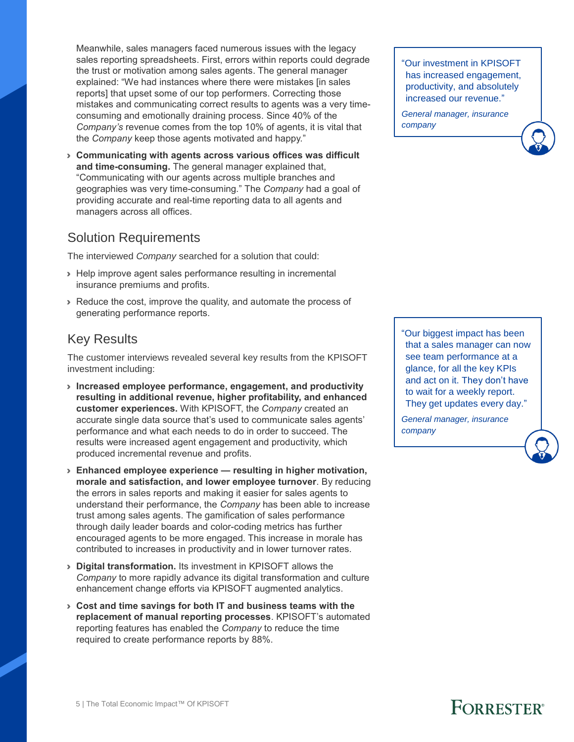Meanwhile, sales managers faced numerous issues with the legacy sales reporting spreadsheets. First, errors within reports could degrade the trust or motivation among sales agents. The general manager explained: "We had instances where there were mistakes [in sales reports] that upset some of our top performers. Correcting those mistakes and communicating correct results to agents was a very timeconsuming and emotionally draining process. Since 40% of the *Company's* revenue comes from the top 10% of agents, it is vital that the *Company* keep those agents motivated and happy."

› **Communicating with agents across various offices was difficult and time-consuming.** The general manager explained that, "Communicating with our agents across multiple branches and geographies was very time-consuming." The *Company* had a goal of providing accurate and real-time reporting data to all agents and managers across all offices.

#### Solution Requirements

The interviewed *Company* searched for a solution that could:

- › Help improve agent sales performance resulting in incremental insurance premiums and profits.
- › Reduce the cost, improve the quality, and automate the process of generating performance reports.

### Key Results

The customer interviews revealed several key results from the KPISOFT investment including:

- › **Increased employee performance, engagement, and productivity resulting in additional revenue, higher profitability, and enhanced customer experiences.** With KPISOFT, the *Company* created an accurate single data source that's used to communicate sales agents' performance and what each needs to do in order to succeed. The results were increased agent engagement and productivity, which produced incremental revenue and profits.
- › **Enhanced employee experience — resulting in higher motivation, morale and satisfaction, and lower employee turnover**. By reducing the errors in sales reports and making it easier for sales agents to understand their performance, the *Company* has been able to increase trust among sales agents. The gamification of sales performance through daily leader boards and color-coding metrics has further encouraged agents to be more engaged. This increase in morale has contributed to increases in productivity and in lower turnover rates.
- › **Digital transformation.** Its investment in KPISOFT allows the *Company* to more rapidly advance its digital transformation and culture enhancement change efforts via KPISOFT augmented analytics.
- › **Cost and time savings for both IT and business teams with the replacement of manual reporting processes**. KPISOFT's automated reporting features has enabled the *Company* to reduce the time required to create performance reports by 88%.

"Our investment in KPISOFT has increased engagement, productivity, and absolutely increased our revenue."

*General manager, insurance company*

"Our biggest impact has been that a sales manager can now see team performance at a glance, for all the key KPIs and act on it. They don't have to wait for a weekly report. They get updates every day."

*General manager, insurance company*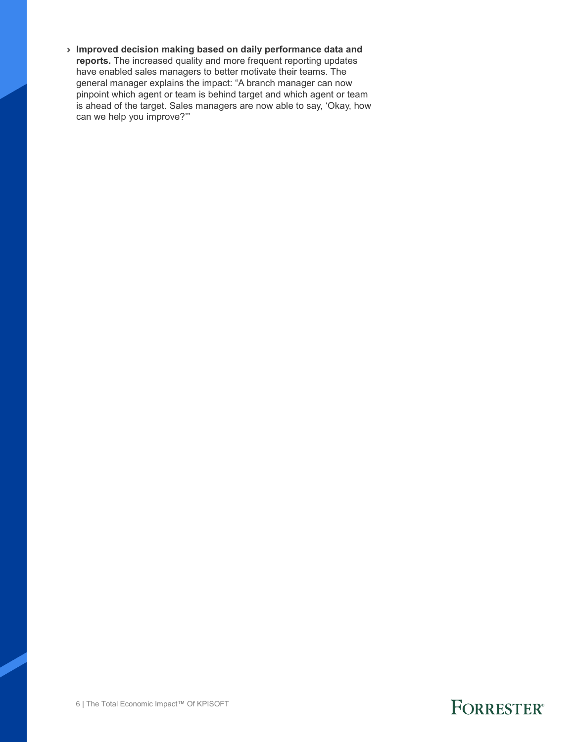› **Improved decision making based on daily performance data and reports.** The increased quality and more frequent reporting updates have enabled sales managers to better motivate their teams. The general manager explains the impact: "A branch manager can now pinpoint which agent or team is behind target and which agent or team is ahead of the target. Sales managers are now able to say, 'Okay, how can we help you improve?'"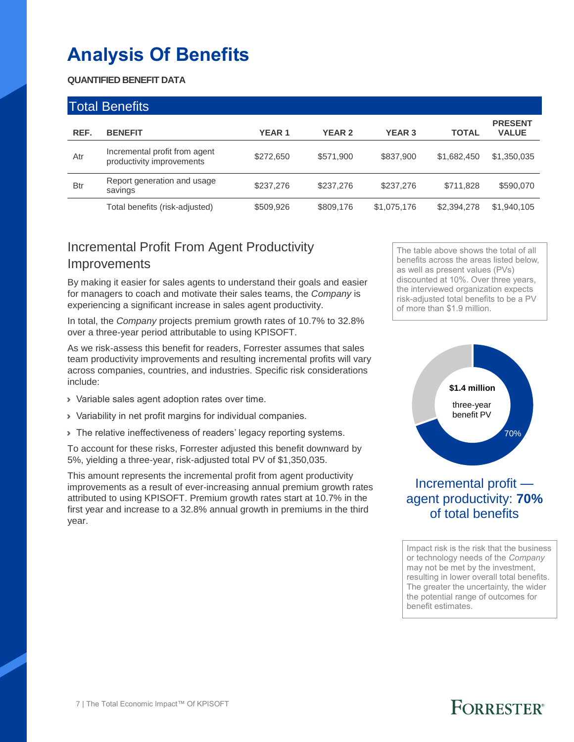## **Analysis Of Benefits**

#### **QUANTIFIED BENEFIT DATA**

|            | <b>Total Benefits</b>                                      |              |               |               |              |                                |  |
|------------|------------------------------------------------------------|--------------|---------------|---------------|--------------|--------------------------------|--|
| REF.       | <b>BENEFIT</b>                                             | <b>YEAR1</b> | <b>YEAR 2</b> | <b>YEAR 3</b> | <b>TOTAL</b> | <b>PRESENT</b><br><b>VALUE</b> |  |
| Atr        | Incremental profit from agent<br>productivity improvements | \$272,650    | \$571,900     | \$837,900     | \$1,682,450  | \$1,350,035                    |  |
| <b>Btr</b> | Report generation and usage<br>savings                     | \$237,276    | \$237,276     | \$237,276     | \$711,828    | \$590,070                      |  |
|            | Total benefits (risk-adjusted)                             | \$509,926    | \$809,176     | \$1,075,176   | \$2,394,278  | \$1,940,105                    |  |

### Incremental Profit From Agent Productivity **Improvements**

By making it easier for sales agents to understand their goals and easier for managers to coach and motivate their sales teams, the *Company* is experiencing a significant increase in sales agent productivity.

In total, the *Company* projects premium growth rates of 10.7% to 32.8% over a three-year period attributable to using KPISOFT.

As we risk-assess this benefit for readers, Forrester assumes that sales team productivity improvements and resulting incremental profits will vary across companies, countries, and industries. Specific risk considerations include:

- › Variable sales agent adoption rates over time.
- › Variability in net profit margins for individual companies.
- › The relative ineffectiveness of readers' legacy reporting systems.

To account for these risks, Forrester adjusted this benefit downward by 5%, yielding a three-year, risk-adjusted total PV of \$1,350,035.

This amount represents the incremental profit from agent productivity improvements as a result of ever-increasing annual premium growth rates attributed to using KPISOFT. Premium growth rates start at 10.7% in the first year and increase to a 32.8% annual growth in premiums in the third year.

The table above shows the total of all benefits across the areas listed below, as well as present values (PVs) discounted at 10%. Over three years, the interviewed organization expects risk-adjusted total benefits to be a PV of more than \$1.9 million.



### Incremental profit agent productivity: **70%** of total benefits

Impact risk is the risk that the business or technology needs of the *Company* may not be met by the investment, resulting in lower overall total benefits. The greater the uncertainty, the wider the potential range of outcomes for benefit estimates.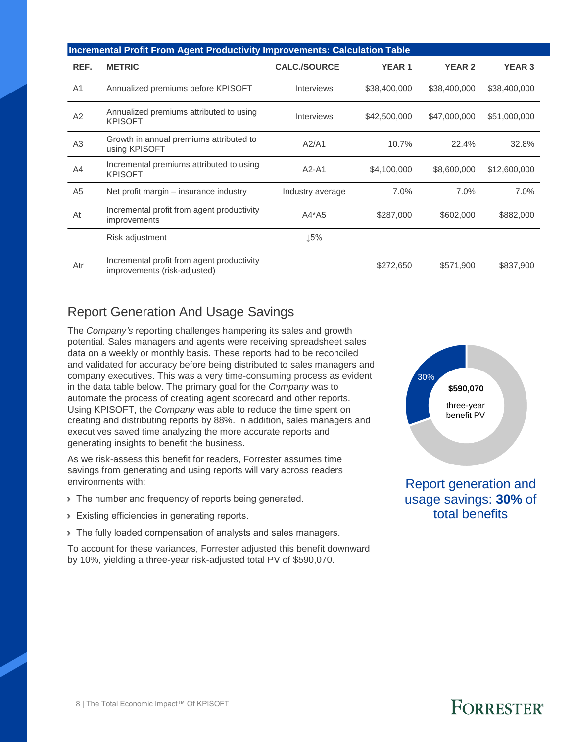|                | <b>Incremental Profit From Agent Productivity Improvements: Calculation Table</b> |                     |              |               |               |  |  |  |  |
|----------------|-----------------------------------------------------------------------------------|---------------------|--------------|---------------|---------------|--|--|--|--|
| REF.           | <b>METRIC</b>                                                                     | <b>CALC./SOURCE</b> | <b>YEAR1</b> | <b>YEAR 2</b> | <b>YEAR 3</b> |  |  |  |  |
| A <sub>1</sub> | Annualized premiums before KPISOFT                                                | <b>Interviews</b>   | \$38,400,000 | \$38,400,000  | \$38,400,000  |  |  |  |  |
| A2             | Annualized premiums attributed to using<br><b>KPISOFT</b>                         | <b>Interviews</b>   | \$42,500,000 | \$47,000,000  | \$51,000,000  |  |  |  |  |
| A3             | Growth in annual premiums attributed to<br>using KPISOFT                          | A2/A1               | 10.7%        | 22.4%         | 32.8%         |  |  |  |  |
| A <sub>4</sub> | Incremental premiums attributed to using<br><b>KPISOFT</b>                        | $A2 - A1$           | \$4,100,000  | \$8,600,000   | \$12,600,000  |  |  |  |  |
| A <sub>5</sub> | Net profit margin – insurance industry                                            | Industry average    | 7.0%         | 7.0%          | 7.0%          |  |  |  |  |
| At             | Incremental profit from agent productivity<br>improvements                        | $AA*AS$             | \$287,000    | \$602,000     | \$882,000     |  |  |  |  |
|                | Risk adjustment                                                                   | 15%                 |              |               |               |  |  |  |  |
| Atr            | Incremental profit from agent productivity<br>improvements (risk-adjusted)        |                     | \$272,650    | \$571,900     | \$837,900     |  |  |  |  |

### Report Generation And Usage Savings

The *Company's* reporting challenges hampering its sales and growth potential. Sales managers and agents were receiving spreadsheet sales data on a weekly or monthly basis. These reports had to be reconciled and validated for accuracy before being distributed to sales managers and company executives. This was a very time-consuming process as evident in the data table below. The primary goal for the *Company* was to automate the process of creating agent scorecard and other reports. Using KPISOFT, the *Company* was able to reduce the time spent on creating and distributing reports by 88%. In addition, sales managers and executives saved time analyzing the more accurate reports and generating insights to benefit the business.

As we risk-assess this benefit for readers, Forrester assumes time savings from generating and using reports will vary across readers environments with:

- > The number and frequency of reports being generated.
- › Existing efficiencies in generating reports.
- › The fully loaded compensation of analysts and sales managers.

To account for these variances, Forrester adjusted this benefit downward by 10%, yielding a three-year risk-adjusted total PV of \$590,070.



Report generation and usage savings: **30%** of total benefits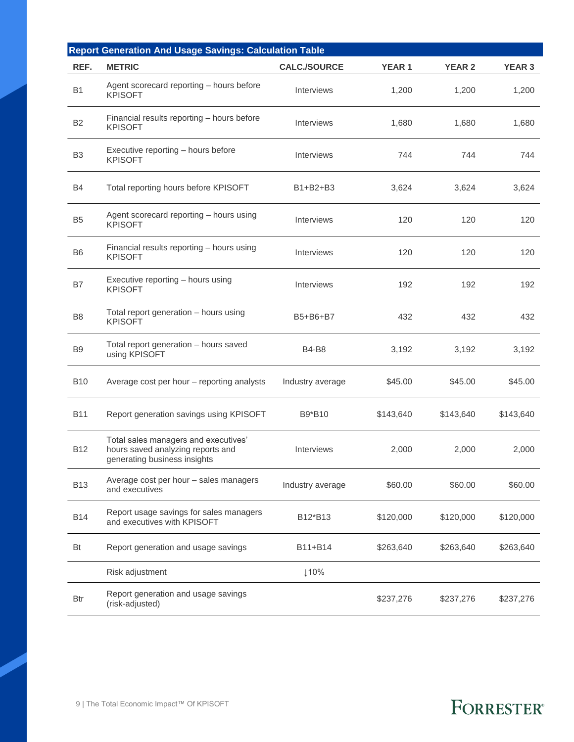|                | <b>Report Generation And Usage Savings: Calculation Table</b>                                             |                     |              |               |               |  |  |
|----------------|-----------------------------------------------------------------------------------------------------------|---------------------|--------------|---------------|---------------|--|--|
| REF.           | <b>METRIC</b>                                                                                             | <b>CALC./SOURCE</b> | <b>YEAR1</b> | <b>YEAR 2</b> | <b>YEAR 3</b> |  |  |
| <b>B1</b>      | Agent scorecard reporting - hours before<br><b>KPISOFT</b>                                                | <b>Interviews</b>   | 1,200        | 1,200         | 1,200         |  |  |
| B <sub>2</sub> | Financial results reporting - hours before<br><b>KPISOFT</b>                                              | Interviews          | 1,680        | 1,680         | 1,680         |  |  |
| B <sub>3</sub> | Executive reporting - hours before<br><b>KPISOFT</b>                                                      | Interviews          | 744          | 744           | 744           |  |  |
| B4             | Total reporting hours before KPISOFT                                                                      | B1+B2+B3            | 3,624        | 3,624         | 3,624         |  |  |
| B <sub>5</sub> | Agent scorecard reporting - hours using<br><b>KPISOFT</b>                                                 | <b>Interviews</b>   | 120          | 120           | 120           |  |  |
| B <sub>6</sub> | Financial results reporting - hours using<br><b>KPISOFT</b>                                               | Interviews          | 120          | 120           | 120           |  |  |
| B7             | Executive reporting - hours using<br><b>KPISOFT</b>                                                       | Interviews          | 192          | 192           | 192           |  |  |
| B <sub>8</sub> | Total report generation - hours using<br><b>KPISOFT</b>                                                   | B5+B6+B7            | 432          | 432           | 432           |  |  |
| B <sub>9</sub> | Total report generation - hours saved<br>using KPISOFT                                                    | <b>B4-B8</b>        | 3,192        | 3,192         | 3,192         |  |  |
| <b>B10</b>     | Average cost per hour - reporting analysts                                                                | Industry average    | \$45.00      | \$45.00       | \$45.00       |  |  |
| <b>B11</b>     | Report generation savings using KPISOFT                                                                   | B9*B10              | \$143,640    | \$143,640     | \$143,640     |  |  |
| <b>B12</b>     | Total sales managers and executives'<br>hours saved analyzing reports and<br>generating business insights | Interviews          | 2,000        | 2,000         | 2,000         |  |  |
| <b>B13</b>     | Average cost per hour - sales managers<br>and executives                                                  | Industry average    | \$60.00      | \$60.00       | \$60.00       |  |  |
| <b>B14</b>     | Report usage savings for sales managers<br>and executives with KPISOFT                                    | B12*B13             | \$120,000    | \$120,000     | \$120,000     |  |  |
| Bt             | Report generation and usage savings                                                                       | B11+B14             | \$263,640    | \$263,640     | \$263,640     |  |  |
|                | Risk adjustment                                                                                           | 110%                |              |               |               |  |  |
| Btr            | Report generation and usage savings<br>(risk-adjusted)                                                    |                     | \$237,276    | \$237,276     | \$237,276     |  |  |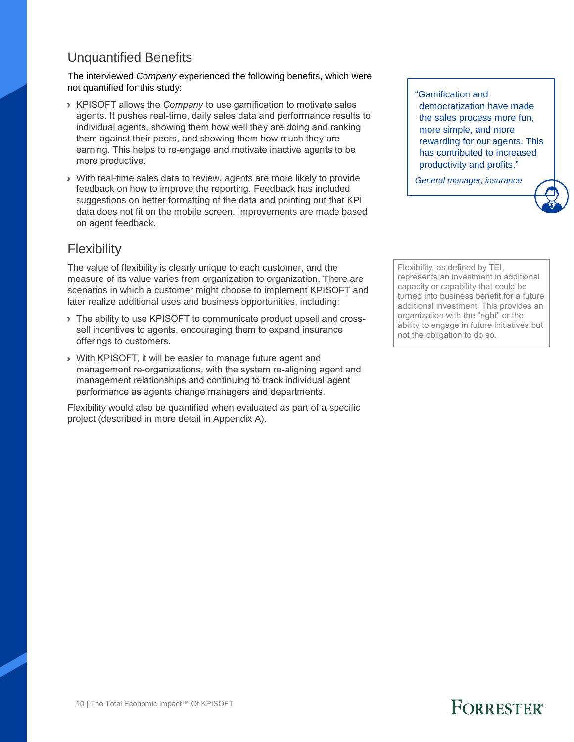### Unquantified Benefits

The interviewed *Company* experienced the following benefits, which were not quantified for this study:

- › KPISOFT allows the *Company* to use gamification to motivate sales agents. It pushes real-time, daily sales data and performance results to individual agents, showing them how well they are doing and ranking them against their peers, and showing them how much they are earning. This helps to re-engage and motivate inactive agents to be more productive.
- › With real-time sales data to review, agents are more likely to provide feedback on how to improve the reporting. Feedback has included suggestions on better formatting of the data and pointing out that KPI data does not fit on the mobile screen. Improvements are made based on agent feedback.

### **Flexibility**

The value of flexibility is clearly unique to each customer, and the measure of its value varies from organization to organization. There are scenarios in which a customer might choose to implement KPISOFT and later realize additional uses and business opportunities, including:

- › The ability to use KPISOFT to communicate product upsell and crosssell incentives to agents, encouraging them to expand insurance offerings to customers.
- › With KPISOFT, it will be easier to manage future agent and management re-organizations, with the system re-aligning agent and management relationships and continuing to track individual agent performance as agents change managers and departments.

Flexibility would also be quantified when evaluated as part of a specific project (described in more detail in Appendix A).

"Gamification and democratization have made the sales process more fun, more simple, and more rewarding for our agents. This has contributed to increased productivity and profits."

*General manager, insurance*

Flexibility, as defined by TEI, represents an investment in additional capacity or capability that could be turned into business benefit for a future additional investment. This provides an organization with the "right" or the ability to engage in future initiatives but not the obligation to do so.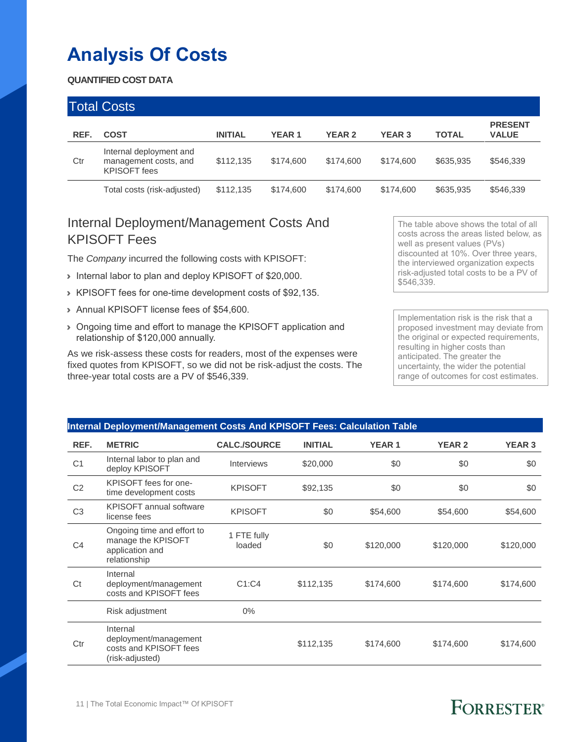## **Analysis Of Costs**

#### **QUANTIFIED COST DATA**

|      | <b>Total Costs</b>                                                      |                |              |               |               |              |                                |
|------|-------------------------------------------------------------------------|----------------|--------------|---------------|---------------|--------------|--------------------------------|
| REF. | <b>COST</b>                                                             | <b>INITIAL</b> | <b>YEAR1</b> | <b>YEAR 2</b> | <b>YEAR 3</b> | <b>TOTAL</b> | <b>PRESENT</b><br><b>VALUE</b> |
| Ctr  | Internal deployment and<br>management costs, and<br><b>KPISOFT</b> fees | \$112.135      | \$174,600    | \$174,600     | \$174,600     | \$635,935    | \$546,339                      |
|      | Total costs (risk-adjusted)                                             | \$112,135      | \$174,600    | \$174,600     | \$174,600     | \$635,935    | \$546,339                      |

### Internal Deployment/Management Costs And KPISOFT Fees

The *Company* incurred the following costs with KPISOFT:

- › Internal labor to plan and deploy KPISOFT of \$20,000.
- › KPISOFT fees for one-time development costs of \$92,135.
- › Annual KPISOFT license fees of \$54,600.
- › Ongoing time and effort to manage the KPISOFT application and relationship of \$120,000 annually.

As we risk-assess these costs for readers, most of the expenses were fixed quotes from KPISOFT, so we did not be risk-adjust the costs. The three-year total costs are a PV of \$546,339.

The table above shows the total of all costs across the areas listed below, as well as present values (PVs) discounted at 10%. Over three years, the interviewed organization expects risk-adjusted total costs to be a PV of \$546,339.

Implementation risk is the risk that a proposed investment may deviate from the original or expected requirements, resulting in higher costs than anticipated. The greater the uncertainty, the wider the potential range of outcomes for cost estimates.

|                | Internal Deployment/Management Costs And KPISOFT Fees: Calculation Table            |                       |                |              |               |               |  |  |  |
|----------------|-------------------------------------------------------------------------------------|-----------------------|----------------|--------------|---------------|---------------|--|--|--|
| REF.           | <b>METRIC</b>                                                                       | <b>CALC./SOURCE</b>   | <b>INITIAL</b> | <b>YEAR1</b> | <b>YEAR 2</b> | <b>YEAR 3</b> |  |  |  |
| C <sub>1</sub> | Internal labor to plan and<br>deploy KPISOFT                                        | <b>Interviews</b>     | \$20,000       | \$0          | \$0           | \$0           |  |  |  |
| C <sub>2</sub> | KPISOFT fees for one-<br>time development costs                                     | <b>KPISOFT</b>        | \$92,135       | \$0          | \$0           | \$0           |  |  |  |
| C <sub>3</sub> | <b>KPISOFT</b> annual software<br>license fees                                      | <b>KPISOFT</b>        | \$0            | \$54,600     | \$54,600      | \$54,600      |  |  |  |
| C <sub>4</sub> | Ongoing time and effort to<br>manage the KPISOFT<br>application and<br>relationship | 1 FTE fully<br>loaded | \$0            | \$120,000    | \$120,000     | \$120,000     |  |  |  |
| Ct             | Internal<br>deployment/management<br>costs and KPISOFT fees                         | C1:CA                 | \$112,135      | \$174,600    | \$174,600     | \$174,600     |  |  |  |
|                | Risk adjustment                                                                     | $0\%$                 |                |              |               |               |  |  |  |
| Ctr            | Internal<br>deployment/management<br>costs and KPISOFT fees<br>(risk-adjusted)      |                       | \$112,135      | \$174,600    | \$174,600     | \$174,600     |  |  |  |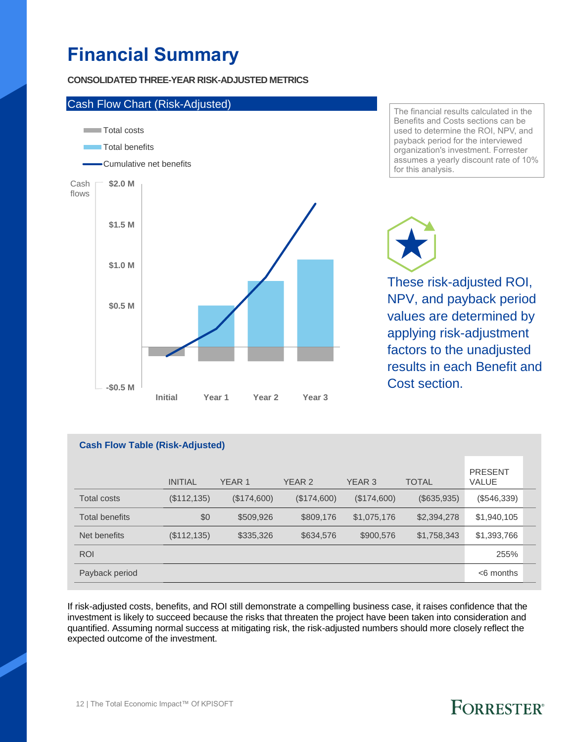## **Financial Summary**

#### **CONSOLIDATED THREE-YEAR RISK-ADJUSTED METRICS**



The financial results calculated in the Benefits and Costs sections can be used to determine the ROI, NPV, and payback period for the interviewed organization's investment. Forrester assumes a yearly discount rate of 10% for this analysis.

These risk-adjusted ROI, NPV, and payback period values are determined by applying risk-adjustment factors to the unadjusted results in each Benefit and Cost section.

#### **Cash Flow Table (Risk-Adjusted)**

|                       | <b>INITIAL</b> | YEAR <sub>1</sub> | YEAR 2      | YEAR <sub>3</sub> | <b>TOTAL</b> | <b>PRESENT</b><br><b>VALUE</b> |  |
|-----------------------|----------------|-------------------|-------------|-------------------|--------------|--------------------------------|--|
| <b>Total costs</b>    | (\$112, 135)   | (\$174,600)       | (\$174,600) | (\$174,600)       | (\$635,935)  | (\$546,339)                    |  |
| <b>Total benefits</b> | \$0            | \$509,926         | \$809,176   | \$1,075,176       | \$2,394,278  | \$1,940,105                    |  |
| Net benefits          | (\$112, 135)   | \$335,326         | \$634,576   | \$900,576         | \$1,758,343  | \$1,393,766                    |  |
| <b>ROI</b>            |                |                   |             |                   |              | 255%                           |  |
| Payback period        |                |                   |             |                   |              | $<$ 6 months                   |  |

If risk-adjusted costs, benefits, and ROI still demonstrate a compelling business case, it raises confidence that the investment is likely to succeed because the risks that threaten the project have been taken into consideration and quantified. Assuming normal success at mitigating risk, the risk-adjusted numbers should more closely reflect the expected outcome of the investment.

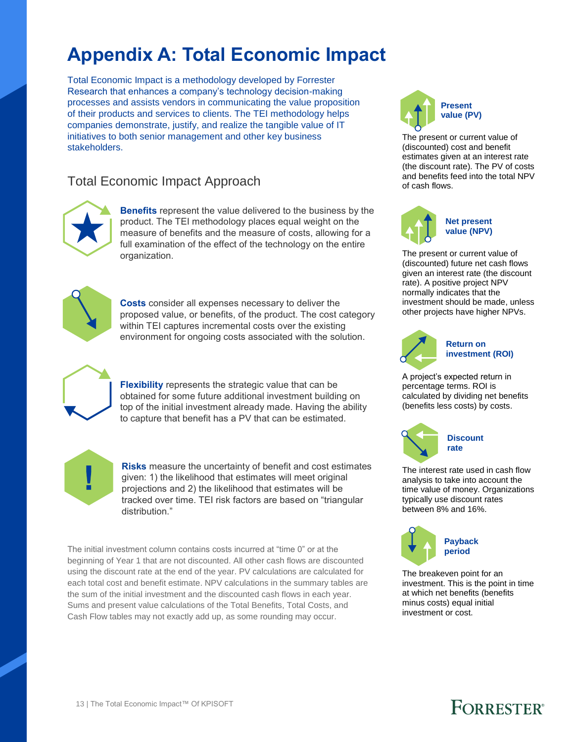## **Appendix A: Total Economic Impact**

Total Economic Impact is a methodology developed by Forrester Research that enhances a company's technology decision-making processes and assists vendors in communicating the value proposition of their products and services to clients. The TEI methodology helps companies demonstrate, justify, and realize the tangible value of IT initiatives to both senior management and other key business stakeholders.

### Total Economic Impact Approach



**Benefits** represent the value delivered to the business by the product. The TEI methodology places equal weight on the measure of benefits and the measure of costs, allowing for a full examination of the effect of the technology on the entire organization.



**Costs** consider all expenses necessary to deliver the proposed value, or benefits, of the product. The cost category within TEI captures incremental costs over the existing environment for ongoing costs associated with the solution.



**Flexibility** represents the strategic value that can be obtained for some future additional investment building on top of the initial investment already made. Having the ability to capture that benefit has a PV that can be estimated.



**Risks** measure the uncertainty of benefit and cost estimates given: 1) the likelihood that estimates will meet original projections and 2) the likelihood that estimates will be tracked over time. TEI risk factors are based on "triangular distribution."

The initial investment column contains costs incurred at "time 0" or at the beginning of Year 1 that are not discounted. All other cash flows are discounted using the discount rate at the end of the year. PV calculations are calculated for each total cost and benefit estimate. NPV calculations in the summary tables are the sum of the initial investment and the discounted cash flows in each year. Sums and present value calculations of the Total Benefits, Total Costs, and Cash Flow tables may not exactly add up, as some rounding may occur.



The present or current value of (discounted) cost and benefit estimates given at an interest rate (the discount rate). The PV of costs and benefits feed into the total NPV of cash flows.



The present or current value of (discounted) future net cash flows

given an interest rate (the discount rate). A positive project NPV normally indicates that the investment should be made, unless other projects have higher NPVs.



#### **Return on investment (ROI)**

A project's expected return in percentage terms. ROI is calculated by dividing net benefits (benefits less costs) by costs.



The interest rate used in cash flow analysis to take into account the time value of money. Organizations typically use discount rates between 8% and 16%.



The breakeven point for an investment. This is the point in time at which net benefits (benefits minus costs) equal initial investment or cost.